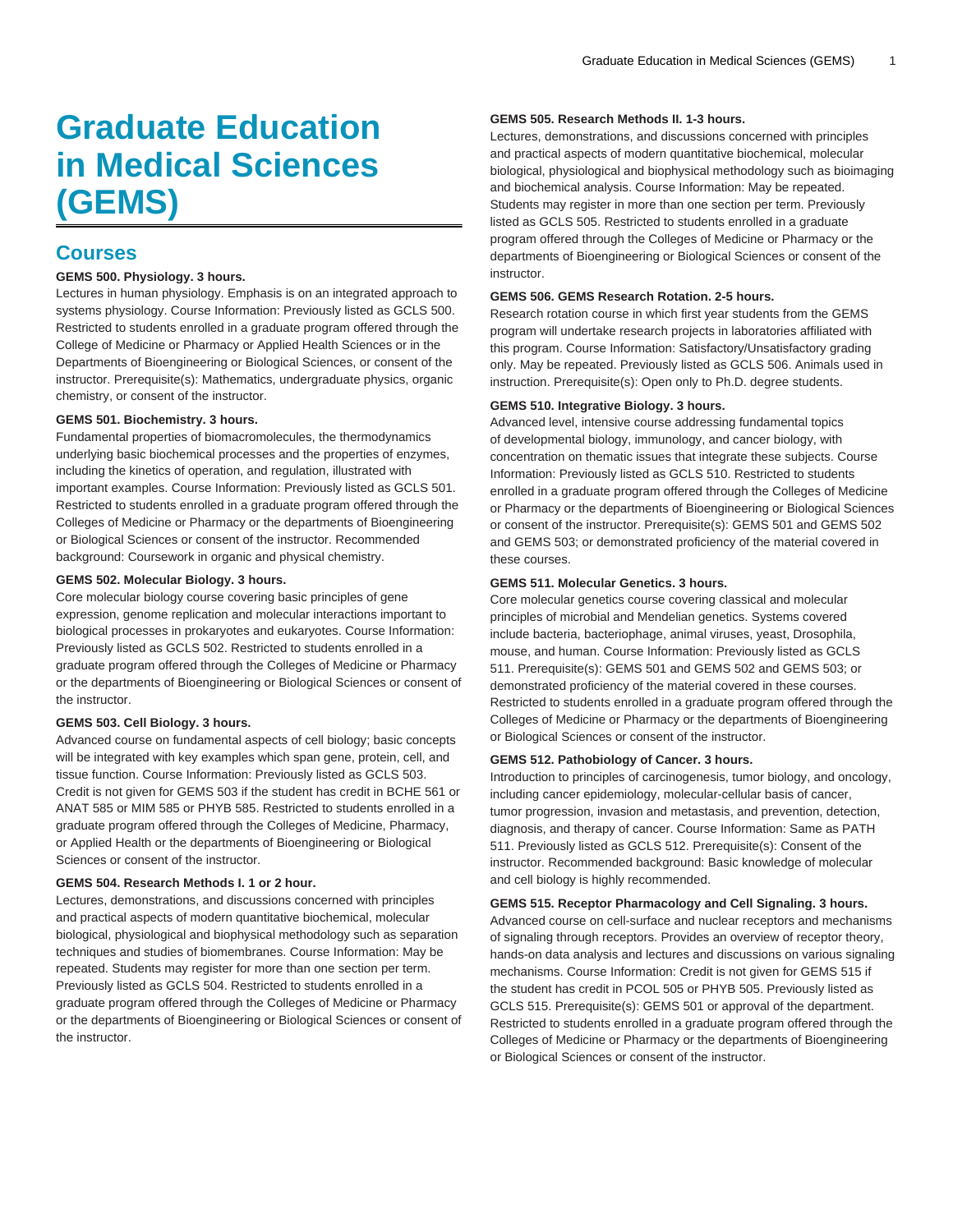# **Graduate Education in Medical Sciences (GEMS)**

# **Courses**

# **GEMS 500. Physiology. 3 hours.**

Lectures in human physiology. Emphasis is on an integrated approach to systems physiology. Course Information: Previously listed as GCLS 500. Restricted to students enrolled in a graduate program offered through the College of Medicine or Pharmacy or Applied Health Sciences or in the Departments of Bioengineering or Biological Sciences, or consent of the instructor. Prerequisite(s): Mathematics, undergraduate physics, organic chemistry, or consent of the instructor.

# **GEMS 501. Biochemistry. 3 hours.**

Fundamental properties of biomacromolecules, the thermodynamics underlying basic biochemical processes and the properties of enzymes, including the kinetics of operation, and regulation, illustrated with important examples. Course Information: Previously listed as GCLS 501. Restricted to students enrolled in a graduate program offered through the Colleges of Medicine or Pharmacy or the departments of Bioengineering or Biological Sciences or consent of the instructor. Recommended background: Coursework in organic and physical chemistry.

# **GEMS 502. Molecular Biology. 3 hours.**

Core molecular biology course covering basic principles of gene expression, genome replication and molecular interactions important to biological processes in prokaryotes and eukaryotes. Course Information: Previously listed as GCLS 502. Restricted to students enrolled in a graduate program offered through the Colleges of Medicine or Pharmacy or the departments of Bioengineering or Biological Sciences or consent of the instructor.

#### **GEMS 503. Cell Biology. 3 hours.**

Advanced course on fundamental aspects of cell biology; basic concepts will be integrated with key examples which span gene, protein, cell, and tissue function. Course Information: Previously listed as GCLS 503. Credit is not given for GEMS 503 if the student has credit in BCHE 561 or ANAT 585 or MIM 585 or PHYB 585. Restricted to students enrolled in a graduate program offered through the Colleges of Medicine, Pharmacy, or Applied Health or the departments of Bioengineering or Biological Sciences or consent of the instructor.

#### **GEMS 504. Research Methods I. 1 or 2 hour.**

Lectures, demonstrations, and discussions concerned with principles and practical aspects of modern quantitative biochemical, molecular biological, physiological and biophysical methodology such as separation techniques and studies of biomembranes. Course Information: May be repeated. Students may register for more than one section per term. Previously listed as GCLS 504. Restricted to students enrolled in a graduate program offered through the Colleges of Medicine or Pharmacy or the departments of Bioengineering or Biological Sciences or consent of the instructor.

#### **GEMS 505. Research Methods II. 1-3 hours.**

Lectures, demonstrations, and discussions concerned with principles and practical aspects of modern quantitative biochemical, molecular biological, physiological and biophysical methodology such as bioimaging and biochemical analysis. Course Information: May be repeated. Students may register in more than one section per term. Previously listed as GCLS 505. Restricted to students enrolled in a graduate program offered through the Colleges of Medicine or Pharmacy or the departments of Bioengineering or Biological Sciences or consent of the instructor.

#### **GEMS 506. GEMS Research Rotation. 2-5 hours.**

Research rotation course in which first year students from the GEMS program will undertake research projects in laboratories affiliated with this program. Course Information: Satisfactory/Unsatisfactory grading only. May be repeated. Previously listed as GCLS 506. Animals used in instruction. Prerequisite(s): Open only to Ph.D. degree students.

#### **GEMS 510. Integrative Biology. 3 hours.**

Advanced level, intensive course addressing fundamental topics of developmental biology, immunology, and cancer biology, with concentration on thematic issues that integrate these subjects. Course Information: Previously listed as GCLS 510. Restricted to students enrolled in a graduate program offered through the Colleges of Medicine or Pharmacy or the departments of Bioengineering or Biological Sciences or consent of the instructor. Prerequisite(s): GEMS 501 and GEMS 502 and GEMS 503; or demonstrated proficiency of the material covered in these courses.

#### **GEMS 511. Molecular Genetics. 3 hours.**

Core molecular genetics course covering classical and molecular principles of microbial and Mendelian genetics. Systems covered include bacteria, bacteriophage, animal viruses, yeast, Drosophila, mouse, and human. Course Information: Previously listed as GCLS 511. Prerequisite(s): GEMS 501 and GEMS 502 and GEMS 503; or demonstrated proficiency of the material covered in these courses. Restricted to students enrolled in a graduate program offered through the Colleges of Medicine or Pharmacy or the departments of Bioengineering or Biological Sciences or consent of the instructor.

# **GEMS 512. Pathobiology of Cancer. 3 hours.**

Introduction to principles of carcinogenesis, tumor biology, and oncology, including cancer epidemiology, molecular-cellular basis of cancer, tumor progression, invasion and metastasis, and prevention, detection, diagnosis, and therapy of cancer. Course Information: Same as PATH 511. Previously listed as GCLS 512. Prerequisite(s): Consent of the instructor. Recommended background: Basic knowledge of molecular and cell biology is highly recommended.

# **GEMS 515. Receptor Pharmacology and Cell Signaling. 3 hours.**

Advanced course on cell-surface and nuclear receptors and mechanisms of signaling through receptors. Provides an overview of receptor theory, hands-on data analysis and lectures and discussions on various signaling mechanisms. Course Information: Credit is not given for GEMS 515 if the student has credit in PCOL 505 or PHYB 505. Previously listed as GCLS 515. Prerequisite(s): GEMS 501 or approval of the department. Restricted to students enrolled in a graduate program offered through the Colleges of Medicine or Pharmacy or the departments of Bioengineering or Biological Sciences or consent of the instructor.